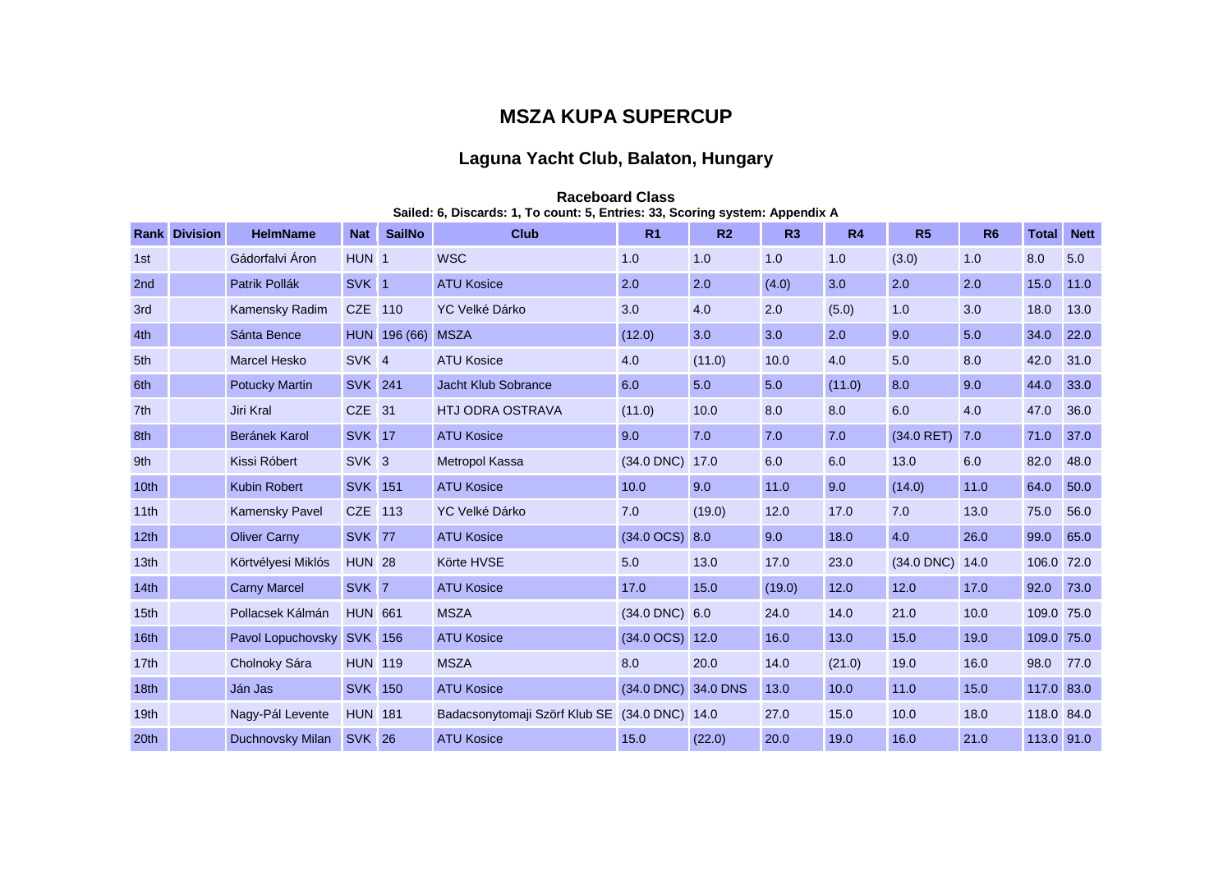## **MSZA KUPA SUPERCUP**

## **Laguna Yacht Club, Balaton, Hungary**

|                  | <b>Rank Division</b> | <b>HelmName</b>       | <b>Nat</b>       | <b>SailNo</b> | 0, Discargo. 1, TO count. 0, Entrico. 00, Oconing ayatchi. Appendix A<br><b>Club</b> | R <sub>1</sub>           | R <sub>2</sub> | R3     | R4     | R5           | R <sub>6</sub> | <b>Total</b> | <b>Nett</b> |
|------------------|----------------------|-----------------------|------------------|---------------|--------------------------------------------------------------------------------------|--------------------------|----------------|--------|--------|--------------|----------------|--------------|-------------|
| 1st              |                      | Gádorfalvi Áron       | HUN <sub>1</sub> |               | <b>WSC</b>                                                                           | 1.0                      | 1.0            | 1.0    | 1.0    | (3.0)        | 1.0            | 8.0          | 5.0         |
| 2 <sub>nd</sub>  |                      | Patrik Pollák         | SVK 1            |               | <b>ATU Kosice</b>                                                                    | 2.0                      | 2.0            | (4.0)  | 3.0    | 2.0          | 2.0            | 15.0         | 11.0        |
| 3rd              |                      | Kamensky Radim        | CZE 110          |               | YC Velké Dárko                                                                       | 3.0                      | 4.0            | 2.0    | (5.0)  | 1.0          | 3.0            | 18.0         | 13.0        |
| 4th              |                      | Sánta Bence           |                  | HUN 196 (66)  | <b>MSZA</b>                                                                          | (12.0)                   | 3.0            | 3.0    | 2.0    | 9.0          | 5.0            | 34.0         | 22.0        |
| 5th              |                      | <b>Marcel Hesko</b>   | SVK <sub>4</sub> |               | <b>ATU Kosice</b>                                                                    | 4.0                      | (11.0)         | 10.0   | 4.0    | 5.0          | 8.0            | 42.0         | 31.0        |
| 6th              |                      | <b>Potucky Martin</b> | <b>SVK</b> 241   |               | Jacht Klub Sobrance                                                                  | 6.0                      | 5.0            | 5.0    | (11.0) | 8.0          | 9.0            | 44.0         | 33.0        |
| 7th              |                      | Jiri Kral             | CZE 31           |               | <b>HTJ ODRA OSTRAVA</b>                                                              | (11.0)                   | 10.0           | 8.0    | 8.0    | 6.0          | 4.0            | 47.0         | 36.0        |
| 8th              |                      | Beránek Karol         | <b>SVK 17</b>    |               | <b>ATU Kosice</b>                                                                    | 9.0                      | 7.0            | 7.0    | 7.0    | $(34.0$ RET) | 7.0            | 71.0         | 37.0        |
| 9th              |                      | Kissi Róbert          | SVK <sub>3</sub> |               | Metropol Kassa                                                                       | $(34.0$ DNC)             | 17.0           | 6.0    | 6.0    | 13.0         | 6.0            | 82.0         | 48.0        |
| 10 <sub>th</sub> |                      | <b>Kubin Robert</b>   | <b>SVK</b> 151   |               | <b>ATU Kosice</b>                                                                    | 10.0                     | 9.0            | 11.0   | 9.0    | (14.0)       | 11.0           | 64.0         | 50.0        |
| 11th             |                      | <b>Kamensky Pavel</b> | CZE 113          |               | YC Velké Dárko                                                                       | 7.0                      | (19.0)         | 12.0   | 17.0   | 7.0          | 13.0           | 75.0         | 56.0        |
| 12 <sub>th</sub> |                      | <b>Oliver Carny</b>   | <b>SVK 77</b>    |               | <b>ATU Kosice</b>                                                                    | $(34.0 \text{ OCS})$ 8.0 |                | 9.0    | 18.0   | 4.0          | 26.0           | 99.0         | 65.0        |
| 13 <sub>th</sub> |                      | Körtvélyesi Miklós    | <b>HUN 28</b>    |               | Körte HVSE                                                                           | 5.0                      | 13.0           | 17.0   | 23.0   | $(34.0$ DNC) | 14.0           | 106.0        | 72.0        |
| 14 <sub>th</sub> |                      | <b>Carny Marcel</b>   | SVK 7            |               | <b>ATU Kosice</b>                                                                    | 17.0                     | 15.0           | (19.0) | 12.0   | 12.0         | 17.0           | 92.0         | 73.0        |
| 15 <sub>th</sub> |                      | Pollacsek Kálmán      | <b>HUN 661</b>   |               | <b>MSZA</b>                                                                          | $(34.0$ DNC $)$ 6.0      |                | 24.0   | 14.0   | 21.0         | 10.0           | 109.0 75.0   |             |
| 16th             |                      | Pavol Lopuchovsky     | <b>SVK 156</b>   |               | <b>ATU Kosice</b>                                                                    | (34.0 OCS) 12.0          |                | 16.0   | 13.0   | 15.0         | 19.0           | 109.0 75.0   |             |
| 17th             |                      | Cholnoky Sára         | <b>HUN 119</b>   |               | <b>MSZA</b>                                                                          | 8.0                      | 20.0           | 14.0   | (21.0) | 19.0         | 16.0           | 98.0         | 77.0        |
| 18 <sub>th</sub> |                      | Ján Jas               | <b>SVK 150</b>   |               | <b>ATU Kosice</b>                                                                    | (34.0 DNC) 34.0 DNS      |                | 13.0   | 10.0   | 11.0         | 15.0           | 117.0 83.0   |             |
| 19 <sub>th</sub> |                      | Nagy-Pál Levente      | <b>HUN 181</b>   |               | Badacsonytomaji Szörf Klub SE (34.0 DNC) 14.0                                        |                          |                | 27.0   | 15.0   | 10.0         | 18.0           | 118.0 84.0   |             |
| 20th             |                      | Duchnovsky Milan      | <b>SVK 26</b>    |               | <b>ATU Kosice</b>                                                                    | 15.0                     | (22.0)         | 20.0   | 19.0   | 16.0         | 21.0           | 113.0 91.0   |             |

## **Raceboard Class Sailed: 6, Discards: 1, To count: 5, Entries: 33, Scoring system: Appendix A**